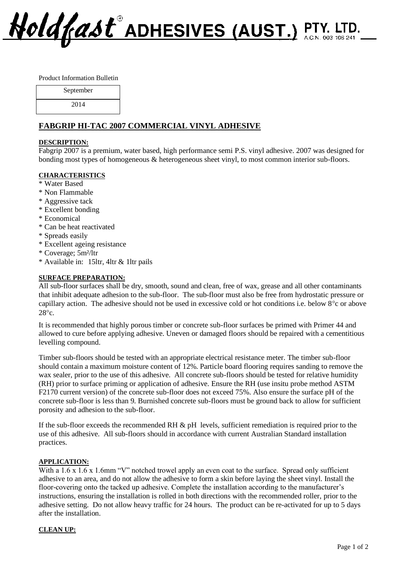Hold (ast ADHESIVES (AUST.) PTY. LTD.

Product Information Bulletin

| September |  |
|-----------|--|
| 2014      |  |

# **FABGRIP HI-TAC 2007 COMMERCIAL VINYL ADHESIVE**

### **DESCRIPTION:**

Fabgrip 2007 is a premium, water based, high performance semi P.S. vinyl adhesive. 2007 was designed for bonding most types of homogeneous & heterogeneous sheet vinyl, to most common interior sub-floors.

## **CHARACTERISTICS**

- \* Water Based
- \* Non Flammable
- \* Aggressive tack
- \* Excellent bonding
- \* Economical
- \* Can be heat reactivated
- \* Spreads easily
- \* Excellent ageing resistance
- \* Coverage; 5m²/ltr
- \* Available in: 15ltr, 4ltr & 1ltr pails

### **SURFACE PREPARATION:**

All sub-floor surfaces shall be dry, smooth, sound and clean, free of wax, grease and all other contaminants that inhibit adequate adhesion to the sub-floor. The sub-floor must also be free from hydrostatic pressure or capillary action. The adhesive should not be used in excessive cold or hot conditions i.e. below 8<sup>o</sup>c or above  $28^\circ c$ 

It is recommended that highly porous timber or concrete sub-floor surfaces be primed with Primer 44 and allowed to cure before applying adhesive. Uneven or damaged floors should be repaired with a cementitious levelling compound.

Timber sub-floors should be tested with an appropriate electrical resistance meter. The timber sub-floor should contain a maximum moisture content of 12%. Particle board flooring requires sanding to remove the wax sealer, prior to the use of this adhesive. All concrete sub-floors should be tested for relative humidity (RH) prior to surface priming or application of adhesive. Ensure the RH (use insitu probe method ASTM F2170 current version) of the concrete sub-floor does not exceed 75%. Also ensure the surface pH of the concrete sub-floor is less than 9. Burnished concrete sub-floors must be ground back to allow for sufficient porosity and adhesion to the sub-floor.

If the sub-floor exceeds the recommended RH  $\&$  pH levels, sufficient remediation is required prior to the use of this adhesive. All sub-floors should in accordance with current Australian Standard installation practices.

#### **APPLICATION:**

With a 1.6 x 1.6 x 1.6mm "V" notched trowel apply an even coat to the surface. Spread only sufficient adhesive to an area, and do not allow the adhesive to form a skin before laying the sheet vinyl. Install the floor-covering onto the tacked up adhesive. Complete the installation according to the manufacturer's instructions, ensuring the installation is rolled in both directions with the recommended roller, prior to the adhesive setting. Do not allow heavy traffic for 24 hours. The product can be re-activated for up to 5 days after the installation.

## **CLEAN UP:**